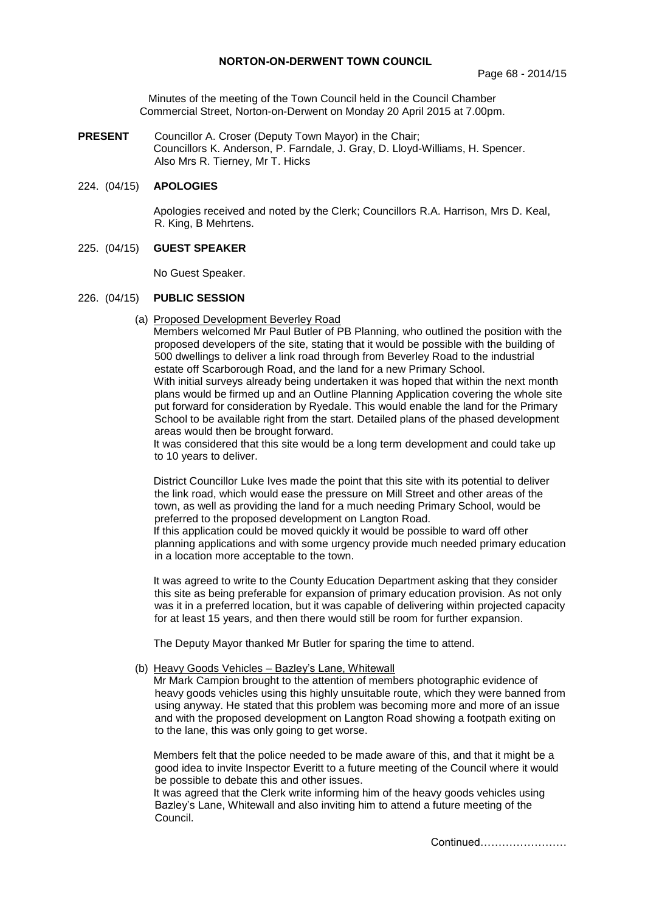Minutes of the meeting of the Town Council held in the Council Chamber Commercial Street, Norton-on-Derwent on Monday 20 April 2015 at 7.00pm.

**PRESENT** Councillor A. Croser (Deputy Town Mayor) in the Chair; Councillors K. Anderson, P. Farndale, J. Gray, D. Lloyd-Williams, H. Spencer. Also Mrs R. Tierney, Mr T. Hicks

# 224. (04/15) **APOLOGIES**

 Apologies received and noted by the Clerk; Councillors R.A. Harrison, Mrs D. Keal, R. King, B Mehrtens.

### 225. (04/15) **GUEST SPEAKER**

No Guest Speaker.

### 226. (04/15) **PUBLIC SESSION**

(a) Proposed Development Beverley Road

Members welcomed Mr Paul Butler of PB Planning, who outlined the position with the proposed developers of the site, stating that it would be possible with the building of 500 dwellings to deliver a link road through from Beverley Road to the industrial estate off Scarborough Road, and the land for a new Primary School. With initial surveys already being undertaken it was hoped that within the next month

plans would be firmed up and an Outline Planning Application covering the whole site put forward for consideration by Ryedale. This would enable the land for the Primary School to be available right from the start. Detailed plans of the phased development areas would then be brought forward.

It was considered that this site would be a long term development and could take up to 10 years to deliver.

District Councillor Luke Ives made the point that this site with its potential to deliver the link road, which would ease the pressure on Mill Street and other areas of the town, as well as providing the land for a much needing Primary School, would be preferred to the proposed development on Langton Road.

If this application could be moved quickly it would be possible to ward off other planning applications and with some urgency provide much needed primary education in a location more acceptable to the town.

It was agreed to write to the County Education Department asking that they consider this site as being preferable for expansion of primary education provision. As not only was it in a preferred location, but it was capable of delivering within projected capacity for at least 15 years, and then there would still be room for further expansion.

The Deputy Mayor thanked Mr Butler for sparing the time to attend.

# (b) Heavy Goods Vehicles – Bazley's Lane, Whitewall

Mr Mark Campion brought to the attention of members photographic evidence of heavy goods vehicles using this highly unsuitable route, which they were banned from using anyway. He stated that this problem was becoming more and more of an issue and with the proposed development on Langton Road showing a footpath exiting on to the lane, this was only going to get worse.

Members felt that the police needed to be made aware of this, and that it might be a good idea to invite Inspector Everitt to a future meeting of the Council where it would be possible to debate this and other issues.

It was agreed that the Clerk write informing him of the heavy goods vehicles using Bazley's Lane, Whitewall and also inviting him to attend a future meeting of the Council.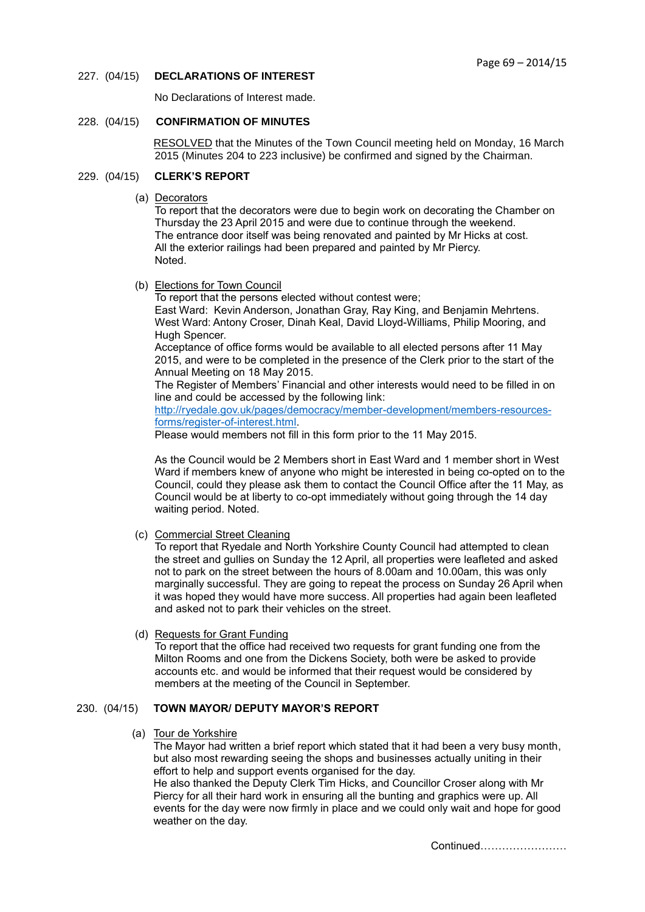# 227. (04/15) **DECLARATIONS OF INTEREST**

No Declarations of Interest made.

### 228. (04/15) **CONFIRMATION OF MINUTES**

 RESOLVED that the Minutes of the Town Council meeting held on Monday, 16 March 2015 (Minutes 204 to 223 inclusive) be confirmed and signed by the Chairman.

# 229. (04/15) **CLERK'S REPORT**

(a) Decorators

To report that the decorators were due to begin work on decorating the Chamber on Thursday the 23 April 2015 and were due to continue through the weekend. The entrance door itself was being renovated and painted by Mr Hicks at cost. All the exterior railings had been prepared and painted by Mr Piercy. Noted.

(b) Elections for Town Council

To report that the persons elected without contest were; East Ward: Kevin Anderson, Jonathan Gray, Ray King, and Benjamin Mehrtens. West Ward: Antony Croser, Dinah Keal, David Lloyd-Williams, Philip Mooring, and Hugh Spencer.

Acceptance of office forms would be available to all elected persons after 11 May 2015, and were to be completed in the presence of the Clerk prior to the start of the Annual Meeting on 18 May 2015.

The Register of Members' Financial and other interests would need to be filled in on line and could be accessed by the following link:

[http://ryedale.gov.uk/pages/democracy/member-development/members-resources](http://ryedale.gov.uk/pages/democracy/member-development/members-resources-forms/register-of-interest.html)[forms/register-of-interest.html.](http://ryedale.gov.uk/pages/democracy/member-development/members-resources-forms/register-of-interest.html)

Please would members not fill in this form prior to the 11 May 2015.

As the Council would be 2 Members short in East Ward and 1 member short in West Ward if members knew of anyone who might be interested in being co-opted on to the Council, could they please ask them to contact the Council Office after the 11 May, as Council would be at liberty to co-opt immediately without going through the 14 day waiting period. Noted.

(c) Commercial Street Cleaning

To report that Ryedale and North Yorkshire County Council had attempted to clean the street and gullies on Sunday the 12 April, all properties were leafleted and asked not to park on the street between the hours of 8.00am and 10.00am, this was only marginally successful. They are going to repeat the process on Sunday 26 April when it was hoped they would have more success. All properties had again been leafleted and asked not to park their vehicles on the street.

(d) Requests for Grant Funding

To report that the office had received two requests for grant funding one from the Milton Rooms and one from the Dickens Society, both were be asked to provide accounts etc. and would be informed that their request would be considered by members at the meeting of the Council in September.

# 230. (04/15) **TOWN MAYOR/ DEPUTY MAYOR'S REPORT**

(a) Tour de Yorkshire

The Mayor had written a brief report which stated that it had been a very busy month, but also most rewarding seeing the shops and businesses actually uniting in their effort to help and support events organised for the day.

He also thanked the Deputy Clerk Tim Hicks, and Councillor Croser along with Mr Piercy for all their hard work in ensuring all the bunting and graphics were up. All events for the day were now firmly in place and we could only wait and hope for good weather on the day.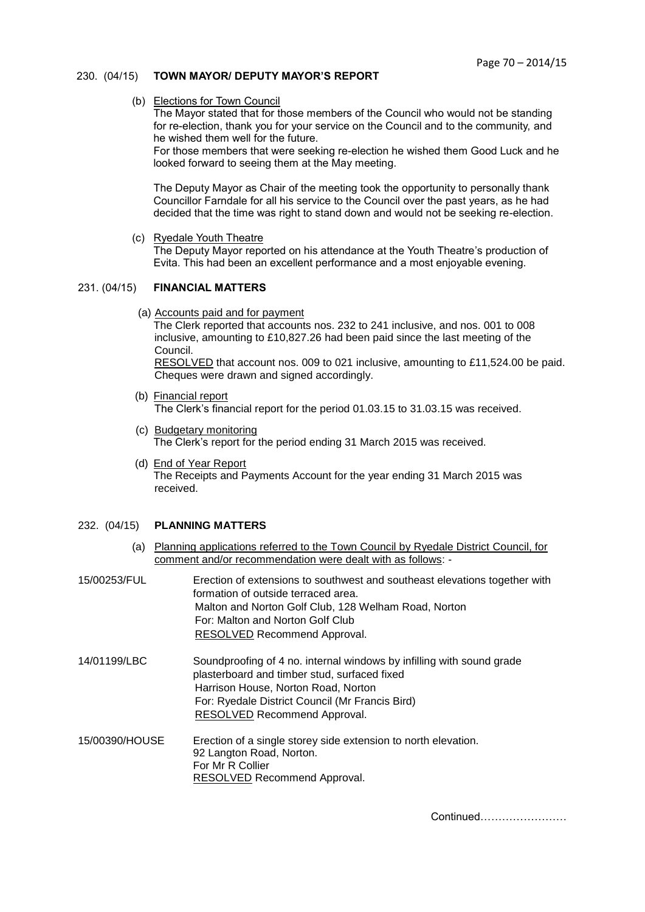# 230. (04/15) **TOWN MAYOR/ DEPUTY MAYOR'S REPORT**

# (b) Elections for Town Council

The Mayor stated that for those members of the Council who would not be standing for re-election, thank you for your service on the Council and to the community, and he wished them well for the future.

For those members that were seeking re-election he wished them Good Luck and he looked forward to seeing them at the May meeting.

The Deputy Mayor as Chair of the meeting took the opportunity to personally thank Councillor Farndale for all his service to the Council over the past years, as he had decided that the time was right to stand down and would not be seeking re-election.

(c) Ryedale Youth Theatre

The Deputy Mayor reported on his attendance at the Youth Theatre's production of Evita. This had been an excellent performance and a most enjoyable evening.

# 231. (04/15) **FINANCIAL MATTERS**

(a) Accounts paid and for payment

The Clerk reported that accounts nos. 232 to 241 inclusive, and nos. 001 to 008 inclusive, amounting to £10,827.26 had been paid since the last meeting of the Council.

 RESOLVED that account nos. 009 to 021 inclusive, amounting to £11,524.00 be paid. Cheques were drawn and signed accordingly.

- (b) Financial report The Clerk's financial report for the period 01.03.15 to 31.03.15 was received.
- (c) Budgetary monitoring The Clerk's report for the period ending 31 March 2015 was received.
- (d) End of Year Report The Receipts and Payments Account for the year ending 31 March 2015 was received.

# 232. (04/15) **PLANNING MATTERS**

- (a) Planning applications referred to the Town Council by Ryedale District Council, for comment and/or recommendation were dealt with as follows: -
- 15/00253/FUL Erection of extensions to southwest and southeast elevations together with formation of outside terraced area. Malton and Norton Golf Club, 128 Welham Road, Norton For: Malton and Norton Golf Club RESOLVED Recommend Approval.
- 14/01199/LBC Soundproofing of 4 no. internal windows by infilling with sound grade plasterboard and timber stud, surfaced fixed Harrison House, Norton Road, Norton For: Ryedale District Council (Mr Francis Bird) RESOLVED Recommend Approval.
- 15/00390/HOUSE Erection of a single storey side extension to north elevation. 92 Langton Road, Norton. For Mr R Collier RESOLVED Recommend Approval.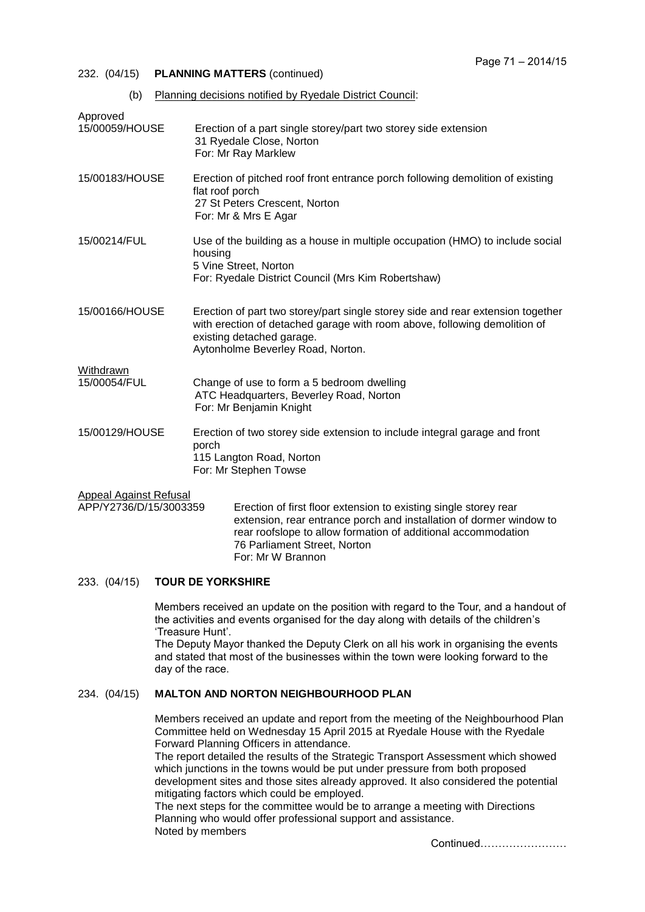- 232. (04/15) **PLANNING MATTERS** (continued)
	- (b) Planning decisions notified by Ryedale District Council:

| Approved                                                |                                                                                                                                                                                                                                          |
|---------------------------------------------------------|------------------------------------------------------------------------------------------------------------------------------------------------------------------------------------------------------------------------------------------|
| 15/00059/HOUSE                                          | Erection of a part single storey/part two storey side extension<br>31 Ryedale Close, Norton<br>For: Mr Ray Marklew                                                                                                                       |
| 15/00183/HOUSE                                          | Erection of pitched roof front entrance porch following demolition of existing<br>flat roof porch<br>27 St Peters Crescent, Norton<br>For: Mr & Mrs E Agar                                                                               |
| 15/00214/FUL                                            | Use of the building as a house in multiple occupation (HMO) to include social<br>housing<br>5 Vine Street, Norton<br>For: Ryedale District Council (Mrs Kim Robertshaw)                                                                  |
| 15/00166/HOUSE                                          | Erection of part two storey/part single storey side and rear extension together<br>with erection of detached garage with room above, following demolition of<br>existing detached garage.<br>Aytonholme Beverley Road, Norton.           |
| Withdrawn                                               |                                                                                                                                                                                                                                          |
| 15/00054/FUL                                            | Change of use to form a 5 bedroom dwelling<br>ATC Headquarters, Beverley Road, Norton<br>For: Mr Benjamin Knight                                                                                                                         |
| 15/00129/HOUSE                                          | Erection of two storey side extension to include integral garage and front<br>porch<br>115 Langton Road, Norton<br>For: Mr Stephen Towse                                                                                                 |
| <b>Appeal Against Refusal</b><br>APP/Y2736/D/15/3003359 | Erection of first floor extension to existing single storey rear<br>extension, rear entrance porch and installation of dormer window to<br>rear roofslope to allow formation of additional accommodation<br>76 Parliament Street, Norton |

# For: Mr W Brannon

233. (04/15) **TOUR DE YORKSHIRE**

Members received an update on the position with regard to the Tour, and a handout of the activities and events organised for the day along with details of the children's 'Treasure Hunt'.

The Deputy Mayor thanked the Deputy Clerk on all his work in organising the events and stated that most of the businesses within the town were looking forward to the day of the race.

# 234. (04/15) **MALTON AND NORTON NEIGHBOURHOOD PLAN**

Members received an update and report from the meeting of the Neighbourhood Plan Committee held on Wednesday 15 April 2015 at Ryedale House with the Ryedale Forward Planning Officers in attendance.

The report detailed the results of the Strategic Transport Assessment which showed which junctions in the towns would be put under pressure from both proposed development sites and those sites already approved. It also considered the potential mitigating factors which could be employed.

The next steps for the committee would be to arrange a meeting with Directions Planning who would offer professional support and assistance. Noted by members